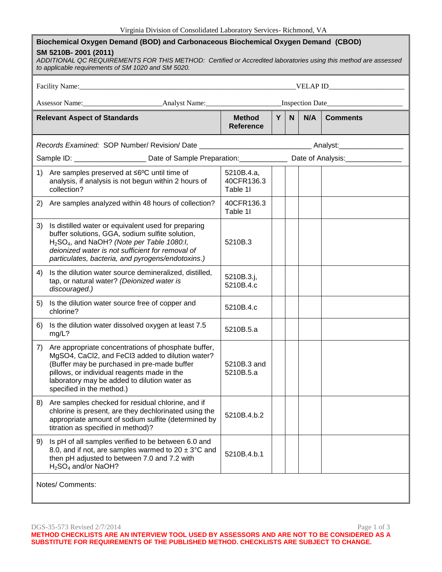| Biochemical Oxygen Demand (BOD) and Carbonaceous Biochemical Oxygen Demand (CBOD)<br>SM 5210B-2001 (2011)                                                             |                                                                                                                                                                                                                                                                                       |                                                                                                                |          |   |  |                |  |
|-----------------------------------------------------------------------------------------------------------------------------------------------------------------------|---------------------------------------------------------------------------------------------------------------------------------------------------------------------------------------------------------------------------------------------------------------------------------------|----------------------------------------------------------------------------------------------------------------|----------|---|--|----------------|--|
| ADDITIONAL QC REQUIREMENTS FOR THIS METHOD: Certified or Accredited laboratories using this method are assessed<br>to applicable requirements of SM 1020 and SM 5020. |                                                                                                                                                                                                                                                                                       |                                                                                                                |          |   |  |                |  |
|                                                                                                                                                                       |                                                                                                                                                                                                                                                                                       |                                                                                                                |          |   |  |                |  |
|                                                                                                                                                                       |                                                                                                                                                                                                                                                                                       |                                                                                                                |          |   |  |                |  |
| <b>Relevant Aspect of Standards</b>                                                                                                                                   |                                                                                                                                                                                                                                                                                       | <b>Method</b><br><b>Reference</b>                                                                              | $Y \mid$ | N |  | $N/A$ Comments |  |
|                                                                                                                                                                       | Records Examined: SOP Number/ Revision/ Date _______________________________Analyst:_________________________                                                                                                                                                                         |                                                                                                                |          |   |  |                |  |
|                                                                                                                                                                       |                                                                                                                                                                                                                                                                                       | Sample ID: _______________________Date of Sample Preparation: ________________Date of Analysis: ______________ |          |   |  |                |  |
|                                                                                                                                                                       | 1) Are samples preserved at $\leq 6^{\circ}$ C until time of<br>analysis, if analysis is not begun within 2 hours of<br>collection?                                                                                                                                                   | 5210B.4.a,<br>40CFR136.3<br>Table 11                                                                           |          |   |  |                |  |
|                                                                                                                                                                       | 2) Are samples analyzed within 48 hours of collection?                                                                                                                                                                                                                                | 40CFR136.3<br>Table 11                                                                                         |          |   |  |                |  |
| 3)                                                                                                                                                                    | Is distilled water or equivalent used for preparing<br>buffer solutions, GGA, sodium sulfite solution,<br>H <sub>2</sub> SO <sub>4</sub> , and NaOH? (Note per Table 1080:I,<br>deionized water is not sufficient for removal of<br>particulates, bacteria, and pyrogens/endotoxins.) | 5210B.3                                                                                                        |          |   |  |                |  |
| 4)                                                                                                                                                                    | Is the dilution water source demineralized, distilled,<br>tap, or natural water? (Deionized water is<br>discouraged.)                                                                                                                                                                 | 5210B.3.j,<br>5210B.4.c                                                                                        |          |   |  |                |  |
| 5)                                                                                                                                                                    | Is the dilution water source free of copper and<br>chlorine?                                                                                                                                                                                                                          | 5210B.4.c                                                                                                      |          |   |  |                |  |
| 6)                                                                                                                                                                    | Is the dilution water dissolved oxygen at least 7.5<br>mg/L?                                                                                                                                                                                                                          | 5210B.5.a                                                                                                      |          |   |  |                |  |
|                                                                                                                                                                       | 7) Are appropriate concentrations of phosphate buffer,<br>MgSO4, CaCl2, and FeCl3 added to dilution water?<br>(Buffer may be purchased in pre-made buffer<br>pillows, or individual reagents made in the<br>laboratory may be added to dilution water as<br>specified in the method.) | 5210B.3 and<br>5210B.5.a                                                                                       |          |   |  |                |  |
| 8)                                                                                                                                                                    | Are samples checked for residual chlorine, and if<br>chlorine is present, are they dechlorinated using the<br>appropriate amount of sodium sulfite (determined by<br>titration as specified in method)?                                                                               | 5210B.4.b.2                                                                                                    |          |   |  |                |  |
| 9)                                                                                                                                                                    | Is pH of all samples verified to be between 6.0 and<br>8.0, and if not, are samples warmed to $20 \pm 3^{\circ}$ C and<br>then pH adjusted to between 7.0 and 7.2 with<br>$H2SO4$ and/or NaOH?                                                                                        | 5210B.4.b.1                                                                                                    |          |   |  |                |  |
| Notes/ Comments:                                                                                                                                                      |                                                                                                                                                                                                                                                                                       |                                                                                                                |          |   |  |                |  |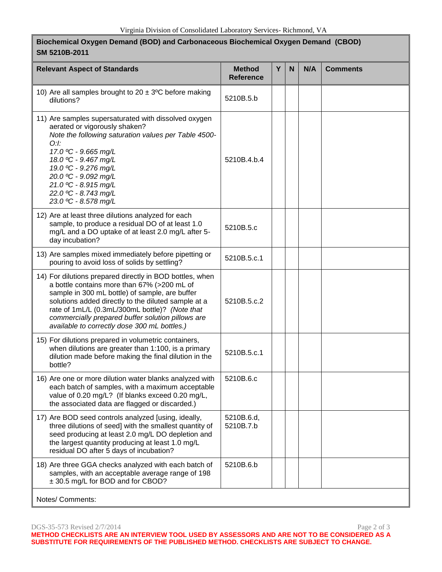## **Biochemical Oxygen Demand (BOD) and Carbonaceous Biochemical Oxygen Demand (CBOD) SM 5210B-2011**

| <b>Relevant Aspect of Standards</b>                                                                                                                                                                                                                                                                                                                                     | <b>Method</b><br><b>Reference</b> | Y | N | N/A | <b>Comments</b> |  |
|-------------------------------------------------------------------------------------------------------------------------------------------------------------------------------------------------------------------------------------------------------------------------------------------------------------------------------------------------------------------------|-----------------------------------|---|---|-----|-----------------|--|
| 10) Are all samples brought to $20 \pm 3^{\circ}$ C before making<br>dilutions?                                                                                                                                                                                                                                                                                         | 5210B.5.b                         |   |   |     |                 |  |
| 11) Are samples supersaturated with dissolved oxygen<br>aerated or vigorously shaken?<br>Note the following saturation values per Table 4500-<br>O/L<br>17.0 °C - 9.665 mg/L<br>18.0 °C - 9.467 mg/L<br>19.0 °C - 9.276 mg/L<br>20.0 °C - 9.092 mg/L<br>21.0 °C - 8.915 mg/L<br>22.0 °C - 8.743 mg/L<br>23.0 °C - 8.578 mg/L                                            | 5210B.4.b.4                       |   |   |     |                 |  |
| 12) Are at least three dilutions analyzed for each<br>sample, to produce a residual DO of at least 1.0<br>mg/L and a DO uptake of at least 2.0 mg/L after 5-<br>day incubation?                                                                                                                                                                                         | 5210B.5.c                         |   |   |     |                 |  |
| 13) Are samples mixed immediately before pipetting or<br>pouring to avoid loss of solids by settling?                                                                                                                                                                                                                                                                   | 5210B.5.c.1                       |   |   |     |                 |  |
| 14) For dilutions prepared directly in BOD bottles, when<br>a bottle contains more than 67% (>200 mL of<br>sample in 300 mL bottle) of sample, are buffer<br>solutions added directly to the diluted sample at a<br>rate of 1mL/L (0.3mL/300mL bottle)? (Note that<br>commercially prepared buffer solution pillows are<br>available to correctly dose 300 mL bottles.) | 5210B.5.c.2                       |   |   |     |                 |  |
| 15) For dilutions prepared in volumetric containers,<br>when dilutions are greater than 1:100, is a primary<br>dilution made before making the final dilution in the<br>bottle?                                                                                                                                                                                         | 5210B.5.c.1                       |   |   |     |                 |  |
| 16) Are one or more dilution water blanks analyzed with<br>each batch of samples, with a maximum acceptable<br>value of 0.20 mg/L? (If blanks exceed 0.20 mg/L,<br>the associated data are flagged or discarded.)                                                                                                                                                       | 5210B.6.c                         |   |   |     |                 |  |
| 17) Are BOD seed controls analyzed [using, ideally,<br>three dilutions of seed] with the smallest quantity of<br>seed producing at least 2.0 mg/L DO depletion and<br>the largest quantity producing at least 1.0 mg/L<br>residual DO after 5 days of incubation?                                                                                                       | 5210B.6.d,<br>5210B.7.b           |   |   |     |                 |  |
| 18) Are three GGA checks analyzed with each batch of<br>samples, with an acceptable average range of 198<br>± 30.5 mg/L for BOD and for CBOD?                                                                                                                                                                                                                           | 5210B.6.b                         |   |   |     |                 |  |
| Notes/ Comments:                                                                                                                                                                                                                                                                                                                                                        |                                   |   |   |     |                 |  |